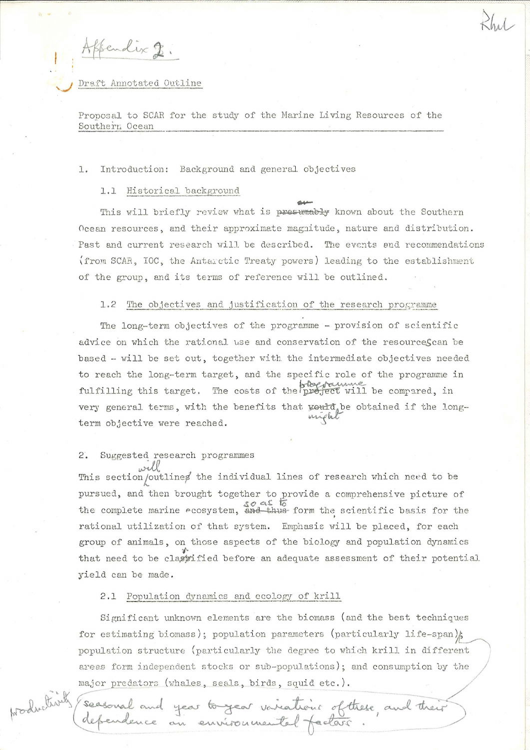sendix 2

Draft Annotated Outline

Proposal to SCAR for the study of the Marine Living Resources of the Southern Ocean

#### Introduction: Background and general objectives 1.

# 1.1 Historical background

This will briefly review what is presumably known about the Southern Ocean resources, and their approximate magnitude, nature and distribution. Past and current research will be described. The events and recommendations (from SCAR, IOC, the Antarctic Treaty powers) leading to the establishment of the group, and its terms of reference will be outlined.

### The objectives and justification of the research programme  $1.2$

The long-term objectives of the programme - provision of scientific advice on which the rational use and conservation of the resourceScan be based - will be set out, together with the intermediate objectives needed to reach the long-term target, and the specific role of the programme in fulfilling this target. The costs of the project will be compared, in very general terms, with the benefits that would be obtained if the longterm objective were reached.

## Suggested research programmes

will will example individual lines of research which need to be pursued, and then brought together to provide a comprehensive picture of the complete marine ecosystem,  $\frac{50}{46}$  form the scientific basis for the rational utilization of that system. Emphasis will be placed, for each group of animals, on those aspects of the biology and population dynamics that need to be classified before an adequate assessment of their potential yield can be made.

### 2.1 Population dynamics and ecology of krill

Significant unknown elements are the biomass (and the best techniques for estimating biomass); population parameters (particularly life-span); population structure (particularly the degree to which krill in different areas form independent stocks or sub-populations); and consumption by the major predators (whales, seals, birds, squid etc.).

seasonal and year to year variations of these, and their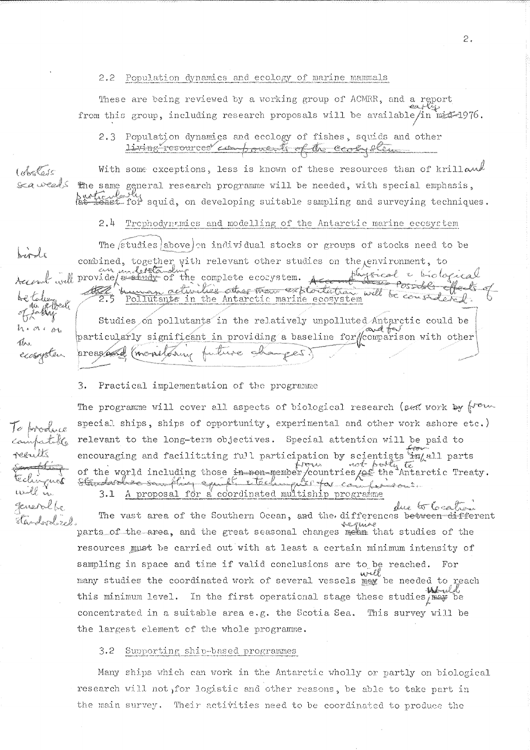### 2.2 Population dynamics and ecology of marine mammals

These are being reviewed by a working group of ACMRR, and a report from this group, including research proposals will be available/in mid=1976.

2.3 Population dynamics and ecology of fishes, squids and other living resources components of the cooky elements

With some exceptions, less is known of these resources than of krilland Inbelais the same general research programme will be needed, with special emphasis,<br>burkeeoly<br>lat least for squid, on developing suitable sampling and surveying techniques. ca weeds

#### $2.4$ Trophodynamics and modelling of the Antarctic marine ecosystem

The studies above on individual stocks or groups of stocks need to be combined, together with relevant other studies on the environment, to decent will provide faithfully of the complete ecocystem. Accord physical & biological<br>be tolerant the complete ecocystem. According Possible effects Possible effects of e teleggede

Studies on pollutants in the relatively unpolluted Antarctic could be particularly significant in providing a baseline for comparison with other preasant (montphing future changes.)

### 3. Practical implementation of the programme

The programme will cover all aspects of biological research (set work by  $\oint_{-\infty}^{\infty}$ special ships, ships of opportunity, experimental and other work ashore etc.) relevant to the long-term objectives. Special attention will be paid to encouraging and facilitating full participation by scientists  $\lim_{\epsilon \to 0}$  all parts of the world including those in somewhere countries for the Antarctic Treaty. 3.1 A proposal for a coordinated multiship programme

due to Catheri The vast area of the Southern Ocean, and the differences between different parts of the area, and the great seasonal changes mean that studies of the resources must be carried out with at least a certain minimum intensity of sampling in space and time if valid conclusions are to be reached. For many studies the coordinated work of several vessels mex be needed to reach this minimum level. In the first operational stage these studies may be concentrated in a suitable area e.g. the Scotia Sea. This survey will be the largest element of the whole programme.

#### Supporting ship-based programmes  $3.2 -$

Many ships which can work in the Antarctic wholly or partly on biological research will not for logistic and other reasons, be able to take part in the main survey. Their activities need to be coordinated to produce the

To produce compatible refults techingues generalbe standordized.

Irode

h.a.er

ecosystem

The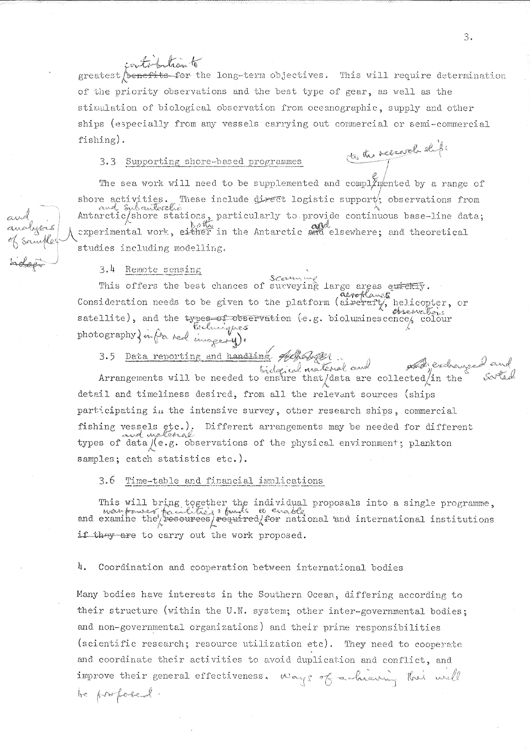controlation to greatest benefits for the long-term objectives. This will require determination of the priority observations and the best type of gear, as well as the stimulation of biological observation from oceanographic, supply and other ships (especially from any vessels carrying out commercial or semi-commercial  $fishing$ ). to the research ships

# 3.3 Supporting shore-based programmes

The sea work will need to be supplemented and complimented by a range of shore activities. These include direct logistic support; observations from<br>and Subenterations, particularly to provide continuous base-line data; cxperimental work, either in the Antarctic and elsewhere; and theoretical studies including modelling.

# $3.4$  Remote sensing

This offers the best chances of surveying large areas quickly. aeroflanes Consideration needs to be given to the platform (aireraft), helicopter, or observations satellite), and the types-of-observation (e.g. bioluminescence), colour photography) infra red images 4).

3.5 Data reporting and handling 46habet

Arrangements vill be needed to ensure that data are collected in the detail and timeliness desired, from all the relevant sources (ships participating in the intensive survey, other research ships, commercial fishing vessels etc.). Different arrangements may be needed for different types of data /(e.g. observations of the physical environment; plankton samples; catch statistics etc.).

3.6 Time-table and financial implications

This will bring together the individual proposals into a single programme, wear facilities of the individual proposals into a single programme, and examine the resources required for national 'and international institution if they are to carry out the work proposed.

4. Coordination and cooperation between international bodies

Many bodies have interests in the Southern Ocean, differing according to their structure (within the U.N. system; other inter-governmental bodies; and non-governmental organizations) and their prime responsibilities (scientific research; resource utilization etc). They need to cooperate and coordinate their activities to avoid duplication and conflict, and improve their general effectiveness. Ways of achieving this will be profesed.

3.